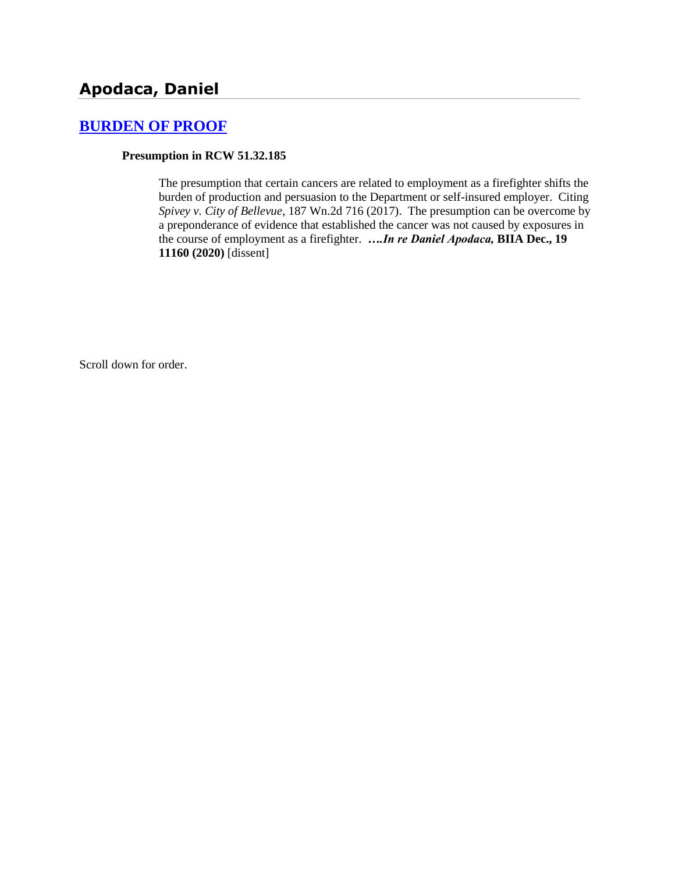# **[BURDEN OF PROOF](http://www.biia.wa.gov/SDSubjectIndex.html#BURDEN_OF_PROOF)**

#### **Presumption in RCW 51.32.185**

The presumption that certain cancers are related to employment as a firefighter shifts the burden of production and persuasion to the Department or self-insured employer. Citing *Spivey v. City of Bellevue*, 187 Wn.2d 716 (2017). The presumption can be overcome by a preponderance of evidence that established the cancer was not caused by exposures in the course of employment as a firefighter. *….In re Daniel Apodaca,* **BIIA Dec., 19 11160 (2020)** [dissent]

Scroll down for order.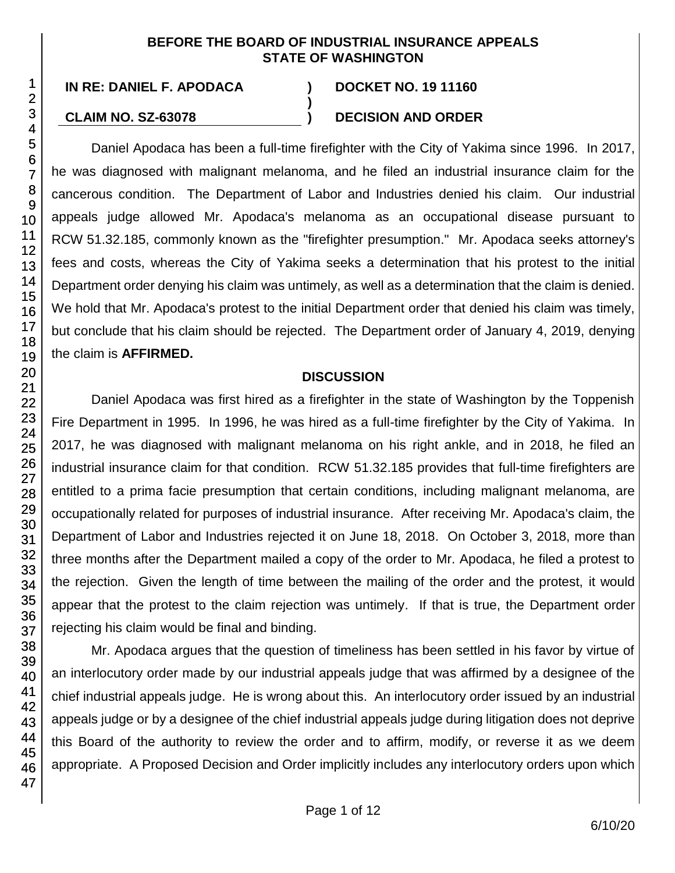#### **BEFORE THE BOARD OF INDUSTRIAL INSURANCE APPEALS STATE OF WASHINGTON**

**)**

**IN RE: DANIEL F. APODACA ) DOCKET NO. 19 11160**

# **CLAIM NO. SZ-63078 ) DECISION AND ORDER**

Daniel Apodaca has been a full-time firefighter with the City of Yakima since 1996. In 2017, he was diagnosed with malignant melanoma, and he filed an industrial insurance claim for the cancerous condition. The Department of Labor and Industries denied his claim. Our industrial appeals judge allowed Mr. Apodaca's melanoma as an occupational disease pursuant to RCW 51.32.185, commonly known as the "firefighter presumption." Mr. Apodaca seeks attorney's fees and costs, whereas the City of Yakima seeks a determination that his protest to the initial Department order denying his claim was untimely, as well as a determination that the claim is denied. We hold that Mr. Apodaca's protest to the initial Department order that denied his claim was timely, but conclude that his claim should be rejected. The Department order of January 4, 2019, denying the claim is **AFFIRMED.**

# **DISCUSSION**

Daniel Apodaca was first hired as a firefighter in the state of Washington by the Toppenish Fire Department in 1995. In 1996, he was hired as a full-time firefighter by the City of Yakima. In 2017, he was diagnosed with malignant melanoma on his right ankle, and in 2018, he filed an industrial insurance claim for that condition. RCW 51.32.185 provides that full-time firefighters are entitled to a prima facie presumption that certain conditions, including malignant melanoma, are occupationally related for purposes of industrial insurance. After receiving Mr. Apodaca's claim, the Department of Labor and Industries rejected it on June 18, 2018. On October 3, 2018, more than three months after the Department mailed a copy of the order to Mr. Apodaca, he filed a protest to the rejection. Given the length of time between the mailing of the order and the protest, it would appear that the protest to the claim rejection was untimely. If that is true, the Department order rejecting his claim would be final and binding.

Mr. Apodaca argues that the question of timeliness has been settled in his favor by virtue of an interlocutory order made by our industrial appeals judge that was affirmed by a designee of the chief industrial appeals judge. He is wrong about this. An interlocutory order issued by an industrial appeals judge or by a designee of the chief industrial appeals judge during litigation does not deprive this Board of the authority to review the order and to affirm, modify, or reverse it as we deem appropriate. A Proposed Decision and Order implicitly includes any interlocutory orders upon which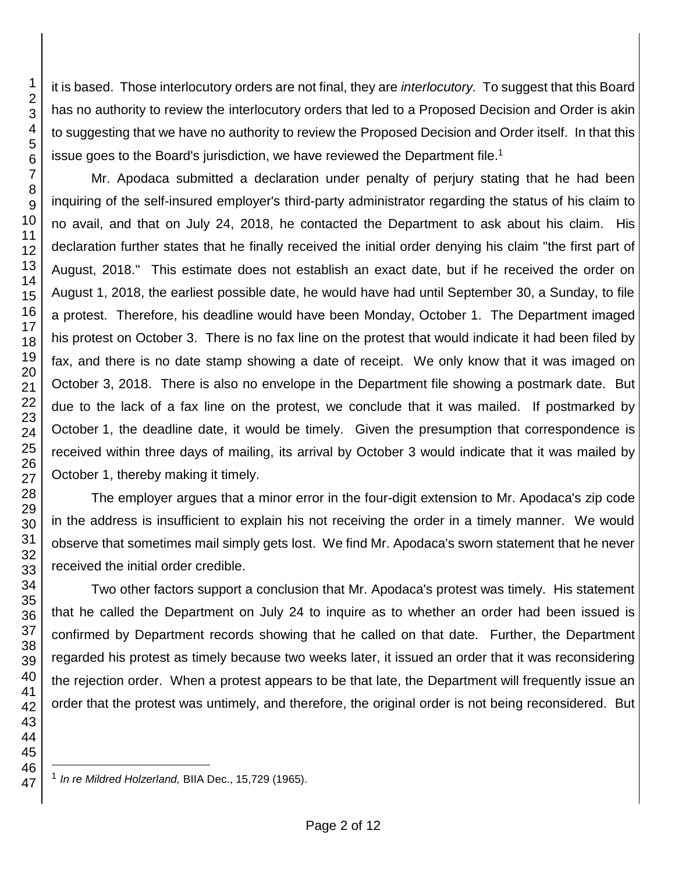it is based. Those interlocutory orders are not final, they are *interlocutory.* To suggest that this Board has no authority to review the interlocutory orders that led to a Proposed Decision and Order is akin to suggesting that we have no authority to review the Proposed Decision and Order itself. In that this issue goes to the Board's jurisdiction, we have reviewed the Department file.<sup>1</sup>

Mr. Apodaca submitted a declaration under penalty of perjury stating that he had been inquiring of the self-insured employer's third-party administrator regarding the status of his claim to no avail, and that on July 24, 2018, he contacted the Department to ask about his claim. His declaration further states that he finally received the initial order denying his claim "the first part of August, 2018." This estimate does not establish an exact date, but if he received the order on August 1, 2018, the earliest possible date, he would have had until September 30, a Sunday, to file a protest. Therefore, his deadline would have been Monday, October 1. The Department imaged his protest on October 3. There is no fax line on the protest that would indicate it had been filed by fax, and there is no date stamp showing a date of receipt. We only know that it was imaged on October 3, 2018. There is also no envelope in the Department file showing a postmark date. But due to the lack of a fax line on the protest, we conclude that it was mailed. If postmarked by October 1, the deadline date, it would be timely. Given the presumption that correspondence is received within three days of mailing, its arrival by October 3 would indicate that it was mailed by October 1, thereby making it timely.

The employer argues that a minor error in the four-digit extension to Mr. Apodaca's zip code in the address is insufficient to explain his not receiving the order in a timely manner. We would observe that sometimes mail simply gets lost. We find Mr. Apodaca's sworn statement that he never received the initial order credible.

Two other factors support a conclusion that Mr. Apodaca's protest was timely. His statement that he called the Department on July 24 to inquire as to whether an order had been issued is confirmed by Department records showing that he called on that date. Further, the Department regarded his protest as timely because two weeks later, it issued an order that it was reconsidering the rejection order. When a protest appears to be that late, the Department will frequently issue an order that the protest was untimely, and therefore, the original order is not being reconsidered. But

l *In re Mildred Holzerland,* BIIA Dec., 15,729 (1965).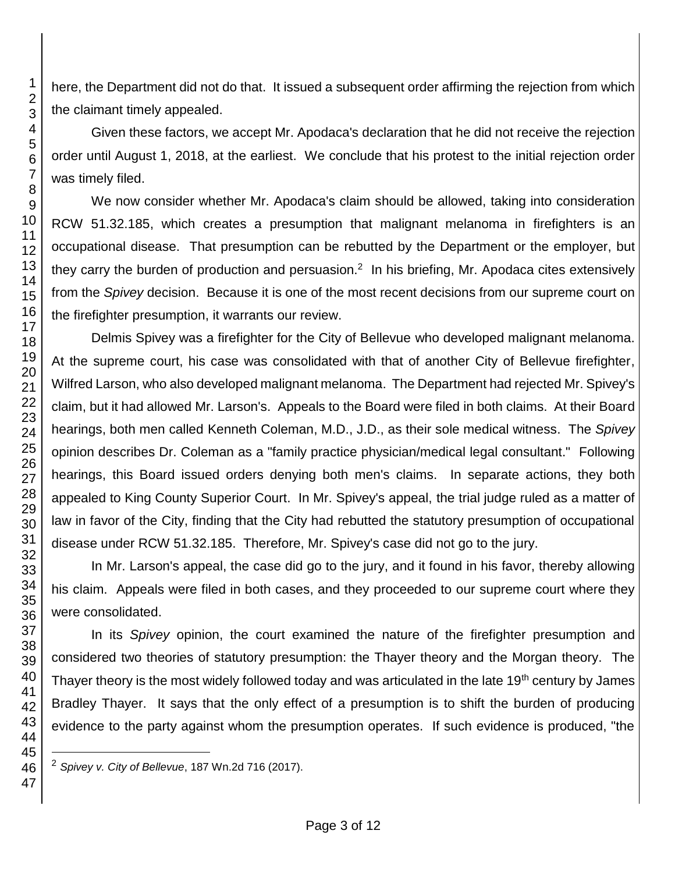here, the Department did not do that. It issued a subsequent order affirming the rejection from which the claimant timely appealed.

Given these factors, we accept Mr. Apodaca's declaration that he did not receive the rejection order until August 1, 2018, at the earliest. We conclude that his protest to the initial rejection order was timely filed.

We now consider whether Mr. Apodaca's claim should be allowed, taking into consideration RCW 51.32.185, which creates a presumption that malignant melanoma in firefighters is an occupational disease. That presumption can be rebutted by the Department or the employer, but they carry the burden of production and persuasion.<sup>2</sup> In his briefing, Mr. Apodaca cites extensively from the *Spivey* decision. Because it is one of the most recent decisions from our supreme court on the firefighter presumption, it warrants our review.

Delmis Spivey was a firefighter for the City of Bellevue who developed malignant melanoma. At the supreme court, his case was consolidated with that of another City of Bellevue firefighter, Wilfred Larson, who also developed malignant melanoma. The Department had rejected Mr. Spivey's claim, but it had allowed Mr. Larson's. Appeals to the Board were filed in both claims. At their Board hearings, both men called Kenneth Coleman, M.D., J.D., as their sole medical witness. The *Spivey*  opinion describes Dr. Coleman as a "family practice physician/medical legal consultant." Following hearings, this Board issued orders denying both men's claims. In separate actions, they both appealed to King County Superior Court. In Mr. Spivey's appeal, the trial judge ruled as a matter of law in favor of the City, finding that the City had rebutted the statutory presumption of occupational disease under RCW 51.32.185. Therefore, Mr. Spivey's case did not go to the jury.

In Mr. Larson's appeal, the case did go to the jury, and it found in his favor, thereby allowing his claim. Appeals were filed in both cases, and they proceeded to our supreme court where they were consolidated.

In its *Spivey* opinion, the court examined the nature of the firefighter presumption and considered two theories of statutory presumption: the Thayer theory and the Morgan theory. The Thayer theory is the most widely followed today and was articulated in the late 19<sup>th</sup> century by James Bradley Thayer. It says that the only effect of a presumption is to shift the burden of producing evidence to the party against whom the presumption operates. If such evidence is produced, "the

*Spivey v. City of Bellevue*, 187 Wn.2d 716 (2017).

l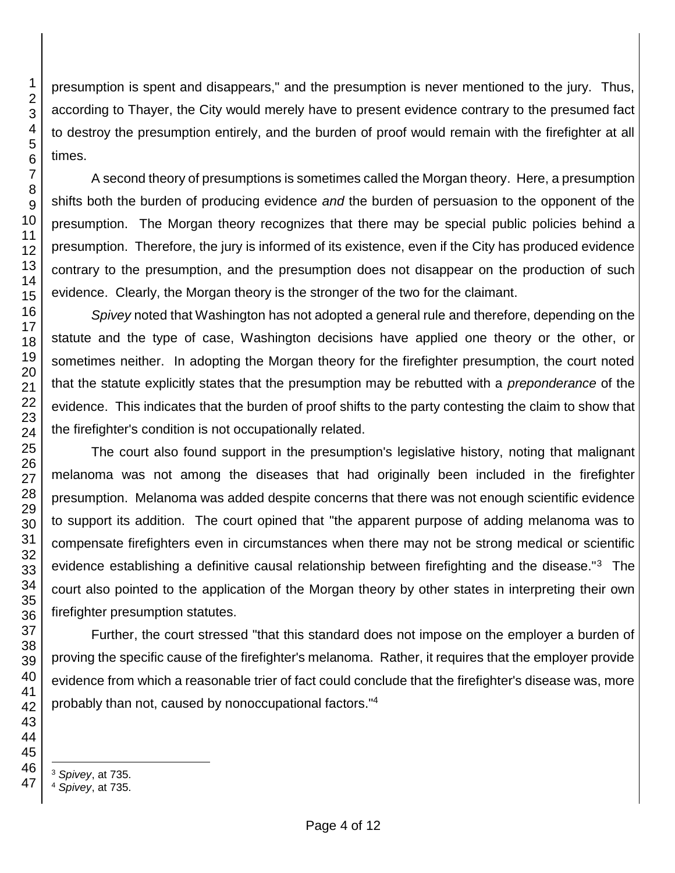presumption is spent and disappears," and the presumption is never mentioned to the jury. Thus, according to Thayer, the City would merely have to present evidence contrary to the presumed fact to destroy the presumption entirely, and the burden of proof would remain with the firefighter at all times.

A second theory of presumptions is sometimes called the Morgan theory. Here, a presumption shifts both the burden of producing evidence *and* the burden of persuasion to the opponent of the presumption. The Morgan theory recognizes that there may be special public policies behind a presumption. Therefore, the jury is informed of its existence, even if the City has produced evidence contrary to the presumption, and the presumption does not disappear on the production of such evidence. Clearly, the Morgan theory is the stronger of the two for the claimant.

*Spivey* noted that Washington has not adopted a general rule and therefore, depending on the statute and the type of case, Washington decisions have applied one theory or the other, or sometimes neither. In adopting the Morgan theory for the firefighter presumption, the court noted that the statute explicitly states that the presumption may be rebutted with a *preponderance* of the evidence. This indicates that the burden of proof shifts to the party contesting the claim to show that the firefighter's condition is not occupationally related.

The court also found support in the presumption's legislative history, noting that malignant melanoma was not among the diseases that had originally been included in the firefighter presumption. Melanoma was added despite concerns that there was not enough scientific evidence to support its addition. The court opined that "the apparent purpose of adding melanoma was to compensate firefighters even in circumstances when there may not be strong medical or scientific evidence establishing a definitive causal relationship between firefighting and the disease."<sup>3</sup> The court also pointed to the application of the Morgan theory by other states in interpreting their own firefighter presumption statutes.

Further, the court stressed "that this standard does not impose on the employer a burden of proving the specific cause of the firefighter's melanoma. Rather, it requires that the employer provide evidence from which a reasonable trier of fact could conclude that the firefighter's disease was, more probably than not, caused by nonoccupational factors."<sup>4</sup>

*Spivey*, at 735.

*Spivey*, at 735.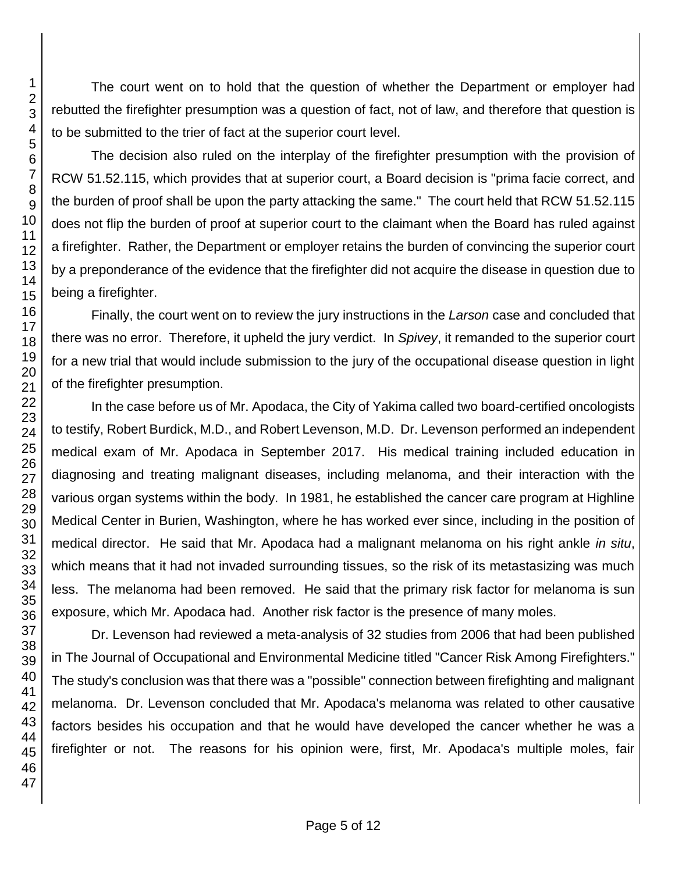The court went on to hold that the question of whether the Department or employer had rebutted the firefighter presumption was a question of fact, not of law, and therefore that question is to be submitted to the trier of fact at the superior court level.

The decision also ruled on the interplay of the firefighter presumption with the provision of RCW 51.52.115, which provides that at superior court, a Board decision is "prima facie correct, and the burden of proof shall be upon the party attacking the same." The court held that RCW 51.52.115 does not flip the burden of proof at superior court to the claimant when the Board has ruled against a firefighter. Rather, the Department or employer retains the burden of convincing the superior court by a preponderance of the evidence that the firefighter did not acquire the disease in question due to being a firefighter.

Finally, the court went on to review the jury instructions in the *Larson* case and concluded that there was no error. Therefore, it upheld the jury verdict. In *Spivey*, it remanded to the superior court for a new trial that would include submission to the jury of the occupational disease question in light of the firefighter presumption.

In the case before us of Mr. Apodaca, the City of Yakima called two board-certified oncologists to testify, Robert Burdick, M.D., and Robert Levenson, M.D. Dr. Levenson performed an independent medical exam of Mr. Apodaca in September 2017. His medical training included education in diagnosing and treating malignant diseases, including melanoma, and their interaction with the various organ systems within the body. In 1981, he established the cancer care program at Highline Medical Center in Burien, Washington, where he has worked ever since, including in the position of medical director. He said that Mr. Apodaca had a malignant melanoma on his right ankle *in situ*, which means that it had not invaded surrounding tissues, so the risk of its metastasizing was much less. The melanoma had been removed. He said that the primary risk factor for melanoma is sun exposure, which Mr. Apodaca had. Another risk factor is the presence of many moles.

Dr. Levenson had reviewed a meta-analysis of 32 studies from 2006 that had been published in The Journal of Occupational and Environmental Medicine titled "Cancer Risk Among Firefighters." The study's conclusion was that there was a "possible" connection between firefighting and malignant melanoma. Dr. Levenson concluded that Mr. Apodaca's melanoma was related to other causative factors besides his occupation and that he would have developed the cancer whether he was a firefighter or not. The reasons for his opinion were, first, Mr. Apodaca's multiple moles, fair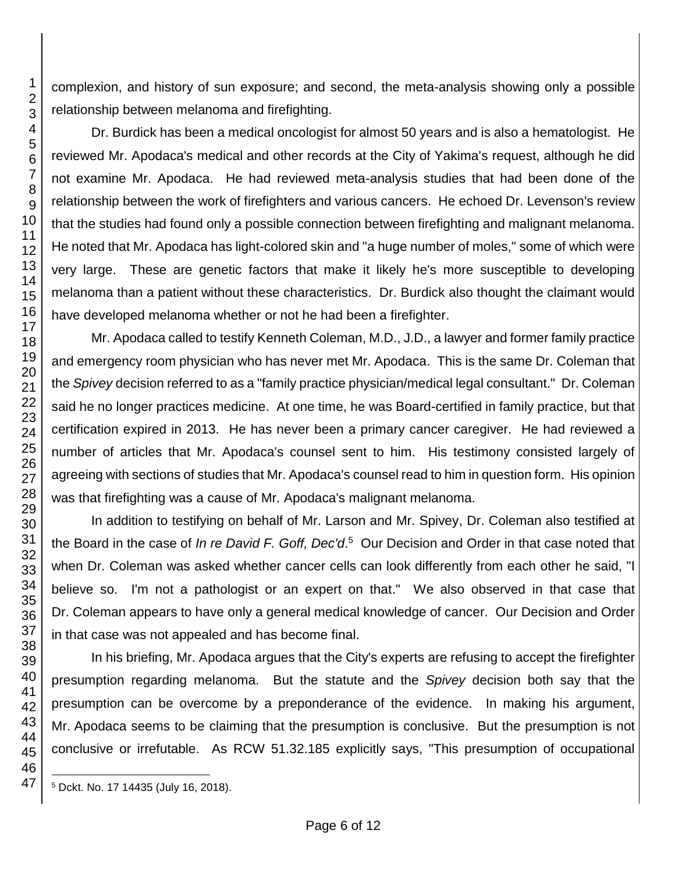complexion, and history of sun exposure; and second, the meta-analysis showing only a possible relationship between melanoma and firefighting.

Dr. Burdick has been a medical oncologist for almost 50 years and is also a hematologist. He reviewed Mr. Apodaca's medical and other records at the City of Yakima's request, although he did not examine Mr. Apodaca. He had reviewed meta-analysis studies that had been done of the relationship between the work of firefighters and various cancers. He echoed Dr. Levenson's review that the studies had found only a possible connection between firefighting and malignant melanoma. He noted that Mr. Apodaca has light-colored skin and "a huge number of moles," some of which were very large. These are genetic factors that make it likely he's more susceptible to developing melanoma than a patient without these characteristics. Dr. Burdick also thought the claimant would have developed melanoma whether or not he had been a firefighter.

Mr. Apodaca called to testify Kenneth Coleman, M.D., J.D., a lawyer and former family practice and emergency room physician who has never met Mr. Apodaca. This is the same Dr. Coleman that the *Spivey* decision referred to as a "family practice physician/medical legal consultant." Dr. Coleman said he no longer practices medicine. At one time, he was Board-certified in family practice, but that certification expired in 2013. He has never been a primary cancer caregiver. He had reviewed a number of articles that Mr. Apodaca's counsel sent to him. His testimony consisted largely of agreeing with sections of studies that Mr. Apodaca's counsel read to him in question form. His opinion was that firefighting was a cause of Mr. Apodaca's malignant melanoma.

In addition to testifying on behalf of Mr. Larson and Mr. Spivey, Dr. Coleman also testified at the Board in the case of *In re David F. Goff, Dec'd*. 5 Our Decision and Order in that case noted that when Dr. Coleman was asked whether cancer cells can look differently from each other he said, "I believe so. I'm not a pathologist or an expert on that." We also observed in that case that Dr. Coleman appears to have only a general medical knowledge of cancer. Our Decision and Order in that case was not appealed and has become final.

In his briefing, Mr. Apodaca argues that the City's experts are refusing to accept the firefighter presumption regarding melanoma. But the statute and the *Spivey* decision both say that the presumption can be overcome by a preponderance of the evidence. In making his argument, Mr. Apodaca seems to be claiming that the presumption is conclusive. But the presumption is not conclusive or irrefutable. As RCW 51.32.185 explicitly says, "This presumption of occupational

l <sup>5</sup> Dckt. No. 17 14435 (July 16, 2018).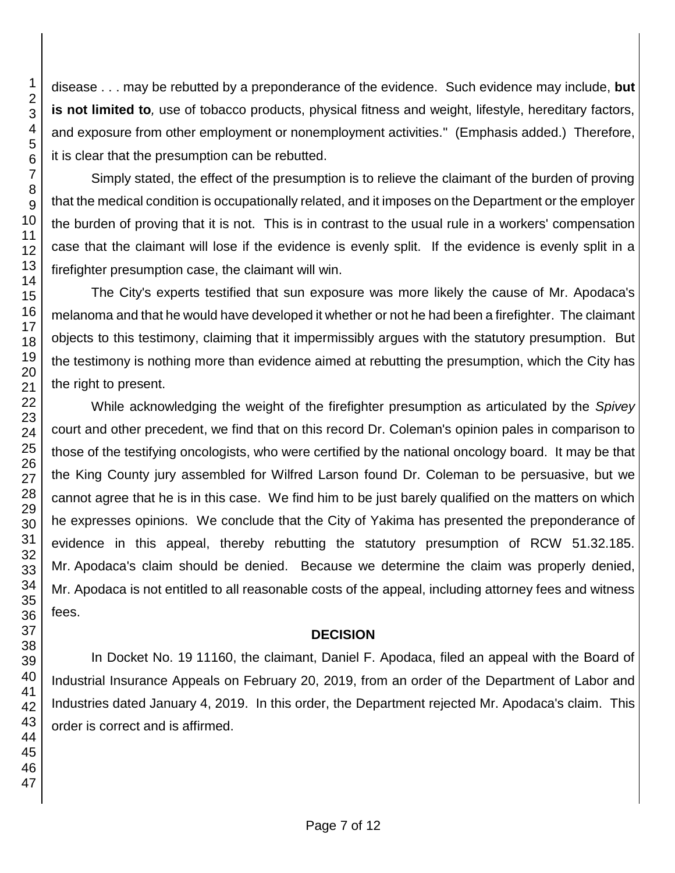disease . . . may be rebutted by a preponderance of the evidence. Such evidence may include, **but is not limited to***,* use of tobacco products, physical fitness and weight, lifestyle, hereditary factors, and exposure from other employment or nonemployment activities." (Emphasis added.) Therefore, it is clear that the presumption can be rebutted.

Simply stated, the effect of the presumption is to relieve the claimant of the burden of proving that the medical condition is occupationally related, and it imposes on the Department or the employer the burden of proving that it is not. This is in contrast to the usual rule in a workers' compensation case that the claimant will lose if the evidence is evenly split. If the evidence is evenly split in a firefighter presumption case, the claimant will win.

The City's experts testified that sun exposure was more likely the cause of Mr. Apodaca's melanoma and that he would have developed it whether or not he had been a firefighter. The claimant objects to this testimony, claiming that it impermissibly argues with the statutory presumption. But the testimony is nothing more than evidence aimed at rebutting the presumption, which the City has the right to present.

While acknowledging the weight of the firefighter presumption as articulated by the *Spivey* court and other precedent, we find that on this record Dr. Coleman's opinion pales in comparison to those of the testifying oncologists, who were certified by the national oncology board. It may be that the King County jury assembled for Wilfred Larson found Dr. Coleman to be persuasive, but we cannot agree that he is in this case. We find him to be just barely qualified on the matters on which he expresses opinions. We conclude that the City of Yakima has presented the preponderance of evidence in this appeal, thereby rebutting the statutory presumption of RCW 51.32.185. Mr. Apodaca's claim should be denied. Because we determine the claim was properly denied, Mr. Apodaca is not entitled to all reasonable costs of the appeal, including attorney fees and witness fees.

# **DECISION**

In Docket No. 19 11160, the claimant, Daniel F. Apodaca, filed an appeal with the Board of Industrial Insurance Appeals on February 20, 2019, from an order of the Department of Labor and Industries dated January 4, 2019. In this order, the Department rejected Mr. Apodaca's claim. This order is correct and is affirmed.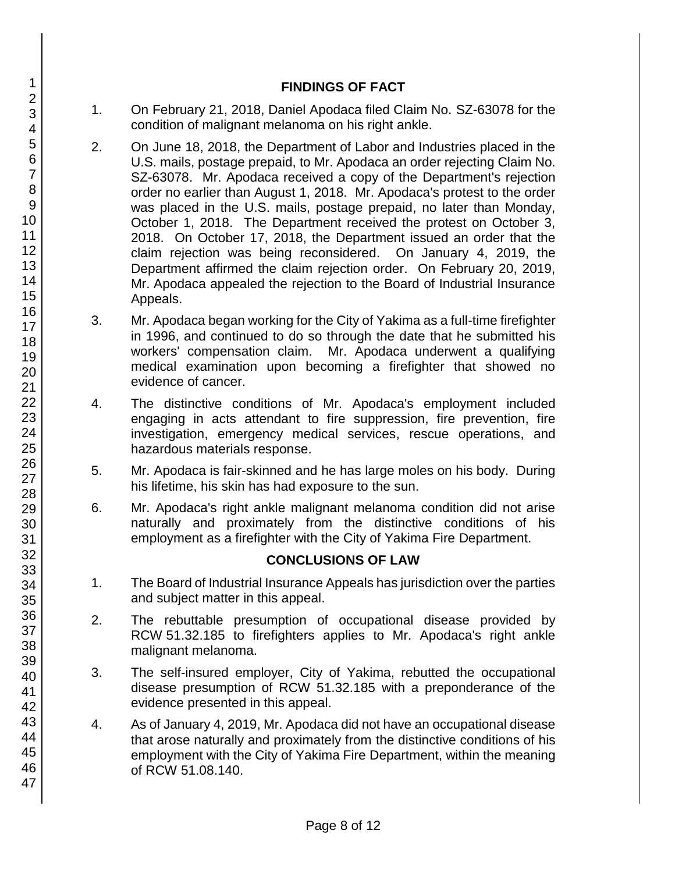### **FINDINGS OF FACT**

- 1. On February 21, 2018, Daniel Apodaca filed Claim No. SZ-63078 for the condition of malignant melanoma on his right ankle.
- 2. On June 18, 2018, the Department of Labor and Industries placed in the U.S. mails, postage prepaid, to Mr. Apodaca an order rejecting Claim No. SZ-63078. Mr. Apodaca received a copy of the Department's rejection order no earlier than August 1, 2018. Mr. Apodaca's protest to the order was placed in the U.S. mails, postage prepaid, no later than Monday, October 1, 2018. The Department received the protest on October 3, 2018. On October 17, 2018, the Department issued an order that the claim rejection was being reconsidered. On January 4, 2019, the Department affirmed the claim rejection order. On February 20, 2019, Mr. Apodaca appealed the rejection to the Board of Industrial Insurance Appeals.
- 3. Mr. Apodaca began working for the City of Yakima as a full-time firefighter in 1996, and continued to do so through the date that he submitted his workers' compensation claim. Mr. Apodaca underwent a qualifying medical examination upon becoming a firefighter that showed no evidence of cancer.
- 4. The distinctive conditions of Mr. Apodaca's employment included engaging in acts attendant to fire suppression, fire prevention, fire investigation, emergency medical services, rescue operations, and hazardous materials response.
- 5. Mr. Apodaca is fair-skinned and he has large moles on his body. During his lifetime, his skin has had exposure to the sun.
- 6. Mr. Apodaca's right ankle malignant melanoma condition did not arise naturally and proximately from the distinctive conditions of his employment as a firefighter with the City of Yakima Fire Department.

# **CONCLUSIONS OF LAW**

- 1. The Board of Industrial Insurance Appeals has jurisdiction over the parties and subject matter in this appeal.
- 2. The rebuttable presumption of occupational disease provided by RCW 51.32.185 to firefighters applies to Mr. Apodaca's right ankle malignant melanoma.
- 3. The self-insured employer, City of Yakima, rebutted the occupational disease presumption of RCW 51.32.185 with a preponderance of the evidence presented in this appeal.
- 4. As of January 4, 2019, Mr. Apodaca did not have an occupational disease that arose naturally and proximately from the distinctive conditions of his employment with the City of Yakima Fire Department, within the meaning of RCW 51.08.140.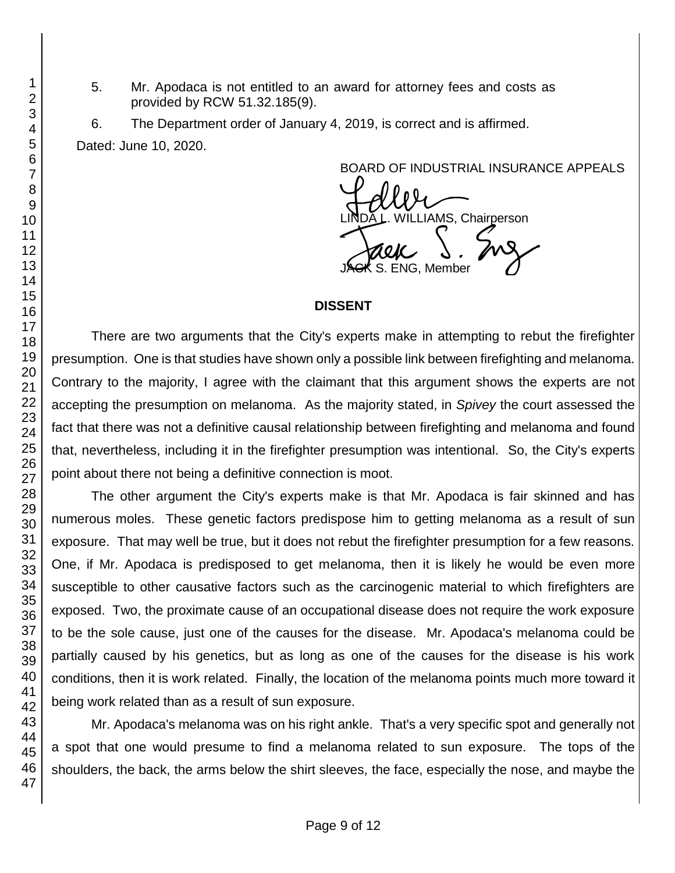5. Mr. Apodaca is not entitled to an award for attorney fees and costs as provided by RCW 51.32.185(9).

6. The Department order of January 4, 2019, is correct and is affirmed. Dated: June 10, 2020.

BOARD OF INDUSTRIAL INSURANCE APPEALS

BOARD OF INDUSTRIAL INSURAM<br>LINDA L. WILLIAMS, Chairperson<br>JACK S. ENG, Member

### **DISSENT**

There are two arguments that the City's experts make in attempting to rebut the firefighter presumption. One is that studies have shown only a possible link between firefighting and melanoma. Contrary to the majority, I agree with the claimant that this argument shows the experts are not accepting the presumption on melanoma. As the majority stated, in *Spivey* the court assessed the fact that there was not a definitive causal relationship between firefighting and melanoma and found that, nevertheless, including it in the firefighter presumption was intentional. So, the City's experts point about there not being a definitive connection is moot.

The other argument the City's experts make is that Mr. Apodaca is fair skinned and has numerous moles. These genetic factors predispose him to getting melanoma as a result of sun exposure. That may well be true, but it does not rebut the firefighter presumption for a few reasons. One, if Mr. Apodaca is predisposed to get melanoma, then it is likely he would be even more susceptible to other causative factors such as the carcinogenic material to which firefighters are exposed. Two, the proximate cause of an occupational disease does not require the work exposure to be the sole cause, just one of the causes for the disease. Mr. Apodaca's melanoma could be partially caused by his genetics, but as long as one of the causes for the disease is his work conditions, then it is work related. Finally, the location of the melanoma points much more toward it being work related than as a result of sun exposure.

Mr. Apodaca's melanoma was on his right ankle. That's a very specific spot and generally not a spot that one would presume to find a melanoma related to sun exposure. The tops of the shoulders, the back, the arms below the shirt sleeves, the face, especially the nose, and maybe the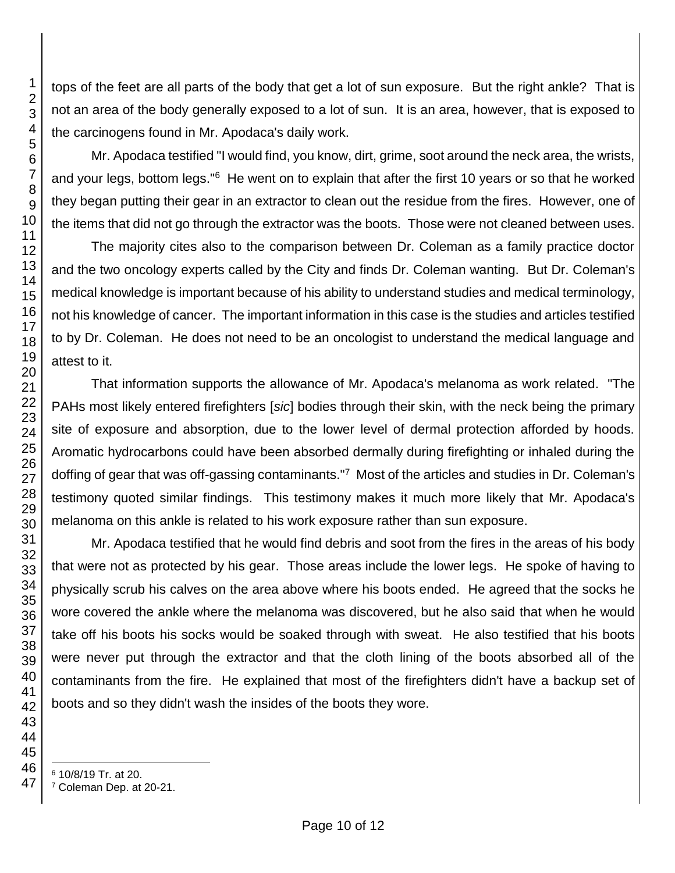tops of the feet are all parts of the body that get a lot of sun exposure. But the right ankle? That is not an area of the body generally exposed to a lot of sun. It is an area, however, that is exposed to the carcinogens found in Mr. Apodaca's daily work.

Mr. Apodaca testified "I would find, you know, dirt, grime, soot around the neck area, the wrists, and your legs, bottom legs."<sup>6</sup> He went on to explain that after the first 10 years or so that he worked they began putting their gear in an extractor to clean out the residue from the fires. However, one of the items that did not go through the extractor was the boots. Those were not cleaned between uses.

The majority cites also to the comparison between Dr. Coleman as a family practice doctor and the two oncology experts called by the City and finds Dr. Coleman wanting. But Dr. Coleman's medical knowledge is important because of his ability to understand studies and medical terminology, not his knowledge of cancer. The important information in this case is the studies and articles testified to by Dr. Coleman. He does not need to be an oncologist to understand the medical language and attest to it.

That information supports the allowance of Mr. Apodaca's melanoma as work related. "The PAHs most likely entered firefighters [*sic*] bodies through their skin, with the neck being the primary site of exposure and absorption, due to the lower level of dermal protection afforded by hoods. Aromatic hydrocarbons could have been absorbed dermally during firefighting or inhaled during the doffing of gear that was off-gassing contaminants."<sup>7</sup> Most of the articles and studies in Dr. Coleman's testimony quoted similar findings. This testimony makes it much more likely that Mr. Apodaca's melanoma on this ankle is related to his work exposure rather than sun exposure.

Mr. Apodaca testified that he would find debris and soot from the fires in the areas of his body that were not as protected by his gear. Those areas include the lower legs. He spoke of having to physically scrub his calves on the area above where his boots ended. He agreed that the socks he wore covered the ankle where the melanoma was discovered, but he also said that when he would take off his boots his socks would be soaked through with sweat. He also testified that his boots were never put through the extractor and that the cloth lining of the boots absorbed all of the contaminants from the fire. He explained that most of the firefighters didn't have a backup set of boots and so they didn't wash the insides of the boots they wore.

Coleman Dep. at 20-21.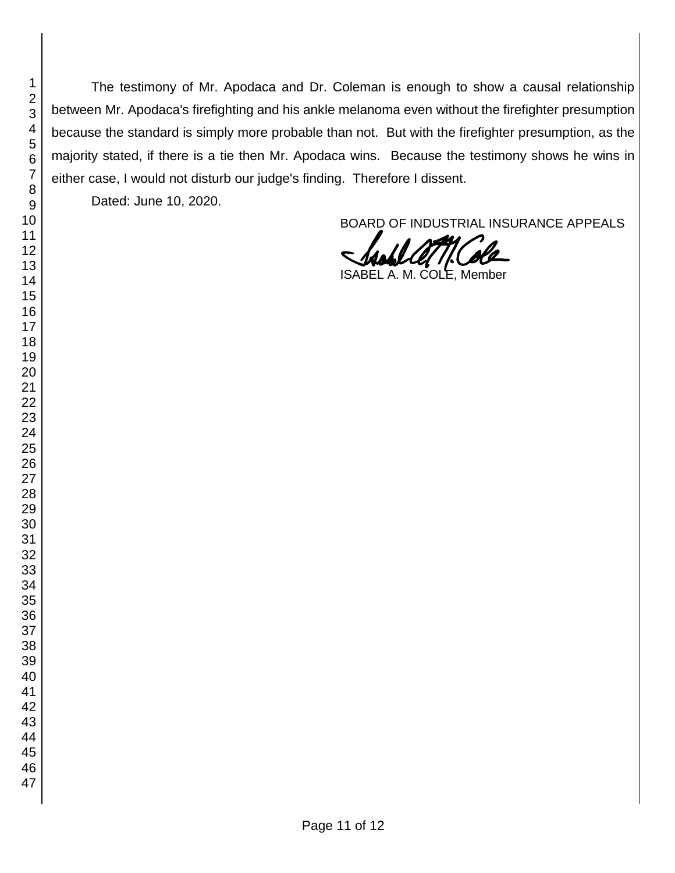The testimony of Mr. Apodaca and Dr. Coleman is enough to show a causal relationship between Mr. Apodaca's firefighting and his ankle melanoma even without the firefighter presumption because the standard is simply more probable than not. But with the firefighter presumption, as the majority stated, if there is a tie then Mr. Apodaca wins. Because the testimony shows he wins in either case, I would not disturb our judge's finding. Therefore I dissent.

Dated: June 10, 2020.

BOARD OF INDUSTRIAL INSURANCE APPEALS

ISABEL A. M. COLE, Member